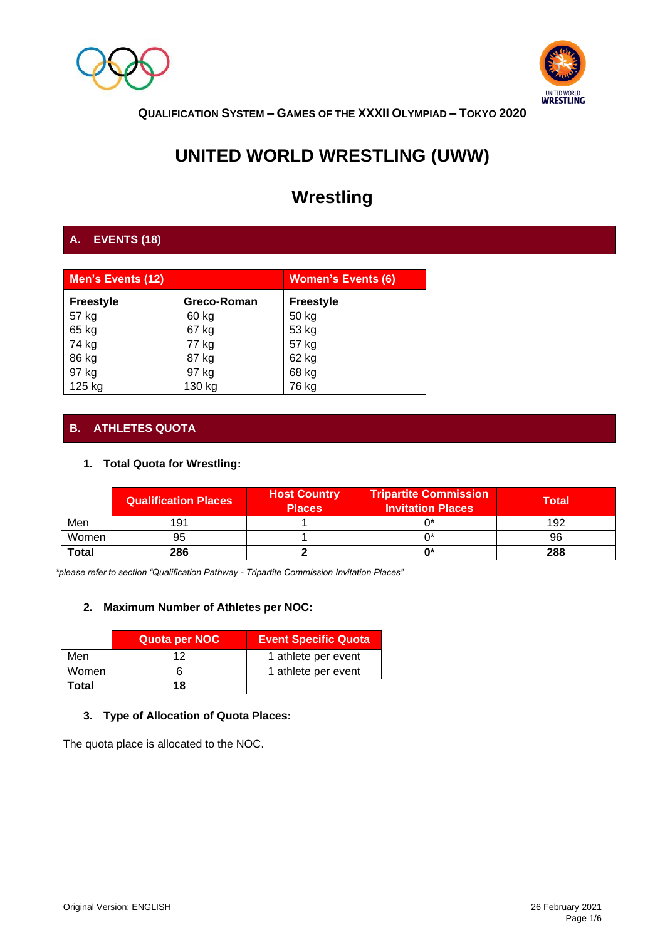



# **UNITED WORLD WRESTLING (UWW)**

# **Wrestling**

# **A. EVENTS (18)**

| <b>Men's Events (12)</b> |             | <b>Women's Events (6)</b> |
|--------------------------|-------------|---------------------------|
| <b>Freestyle</b>         | Greco-Roman | <b>Freestyle</b>          |
| 57 kg                    | 60 kg       | 50 kg                     |
| 65 kg                    | 67 kg       | 53 kg                     |
| 74 kg                    | 77 kg       | 57 kg                     |
| 86 kg                    | 87 kg       | 62 kg                     |
| 97 kg                    | 97 kg       | 68 kg                     |
| 125 kg                   | 130 kg      | 76 kg                     |

# **B. ATHLETES QUOTA**

# **1. Total Quota for Wrestling:**

|              | <b>Qualification Places</b> | <b>Host Country</b><br><b>Places</b> | <b>Tripartite Commission</b><br><b>Invitation Places</b> | <b>Total</b> |
|--------------|-----------------------------|--------------------------------------|----------------------------------------------------------|--------------|
| Men          | 191                         |                                      |                                                          | 192          |
| Women        | 95                          |                                      |                                                          | 96           |
| <b>Total</b> | 286                         |                                      | n∗                                                       | 288          |

*\*please refer to section "Qualification Pathway - Tripartite Commission Invitation Places"* 

# **2. Maximum Number of Athletes per NOC:**

|              | Quota per NOC | <b>Event Specific Quota</b> |
|--------------|---------------|-----------------------------|
| Men          | ィっ            | 1 athlete per event         |
| Women        |               | 1 athlete per event         |
| <b>Total</b> | 18            |                             |

# **3. Type of Allocation of Quota Places:**

The quota place is allocated to the NOC.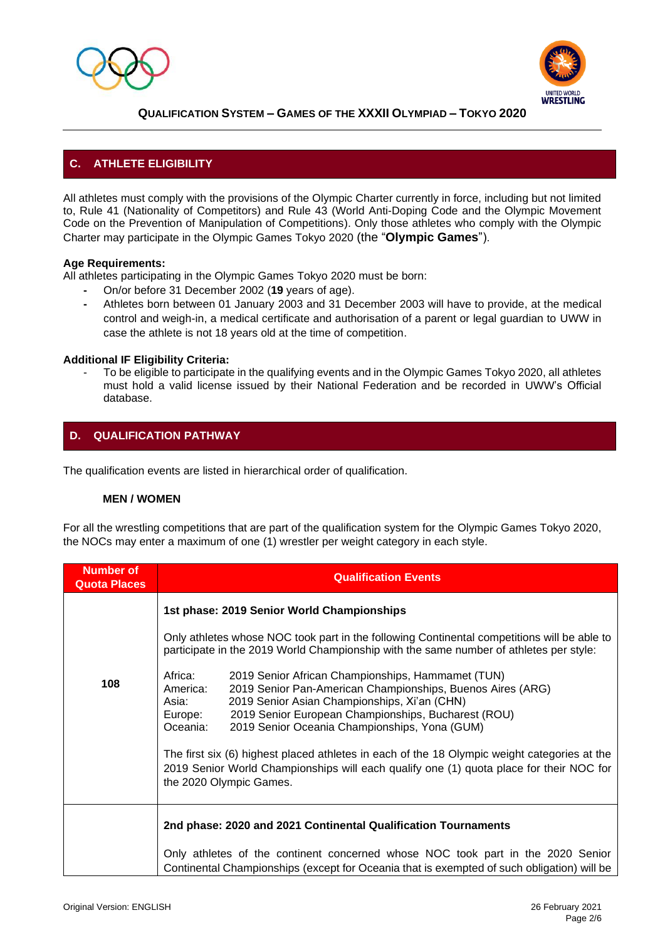



# **C. ATHLETE ELIGIBILITY**

All athletes must comply with the provisions of the Olympic Charter currently in force, including but not limited to, Rule 41 (Nationality of Competitors) and Rule 43 (World Anti-Doping Code and the Olympic Movement Code on the Prevention of Manipulation of Competitions). Only those athletes who comply with the Olympic Charter may participate in the Olympic Games Tokyo 2020 (the "**Olympic Games**").

#### **Age Requirements:**

All athletes participating in the Olympic Games Tokyo 2020 must be born:

- **-** On/or before 31 December 2002 (**19** years of age).
- **-** Athletes born between 01 January 2003 and 31 December 2003 will have to provide, at the medical control and weigh-in, a medical certificate and authorisation of a parent or legal guardian to UWW in case the athlete is not 18 years old at the time of competition.

#### **Additional IF Eligibility Criteria:**

To be eligible to participate in the qualifying events and in the Olympic Games Tokyo 2020, all athletes must hold a valid license issued by their National Federation and be recorded in UWW's Official database.

# **D. QUALIFICATION PATHWAY**

The qualification events are listed in hierarchical order of qualification.

#### **MEN / WOMEN**

For all the wrestling competitions that are part of the qualification system for the Olympic Games Tokyo 2020, the NOCs may enter a maximum of one (1) wrestler per weight category in each style.

| <b>Number of</b><br><b>Quota Places</b> | <b>Qualification Events</b>                                                                                                                                                                                                                                                                                                    |  |
|-----------------------------------------|--------------------------------------------------------------------------------------------------------------------------------------------------------------------------------------------------------------------------------------------------------------------------------------------------------------------------------|--|
|                                         | 1st phase: 2019 Senior World Championships                                                                                                                                                                                                                                                                                     |  |
|                                         | Only athletes whose NOC took part in the following Continental competitions will be able to<br>participate in the 2019 World Championship with the same number of athletes per style:                                                                                                                                          |  |
| 108                                     | Africa:<br>2019 Senior African Championships, Hammamet (TUN)<br>2019 Senior Pan-American Championships, Buenos Aires (ARG)<br>America:<br>2019 Senior Asian Championships, Xi'an (CHN)<br>Asia:<br>2019 Senior European Championships, Bucharest (ROU)<br>Europe:<br>2019 Senior Oceania Championships, Yona (GUM)<br>Oceania: |  |
|                                         | The first six (6) highest placed athletes in each of the 18 Olympic weight categories at the<br>2019 Senior World Championships will each qualify one (1) quota place for their NOC for<br>the 2020 Olympic Games.                                                                                                             |  |
|                                         | 2nd phase: 2020 and 2021 Continental Qualification Tournaments                                                                                                                                                                                                                                                                 |  |
|                                         | Only athletes of the continent concerned whose NOC took part in the 2020 Senior<br>Continental Championships (except for Oceania that is exempted of such obligation) will be                                                                                                                                                  |  |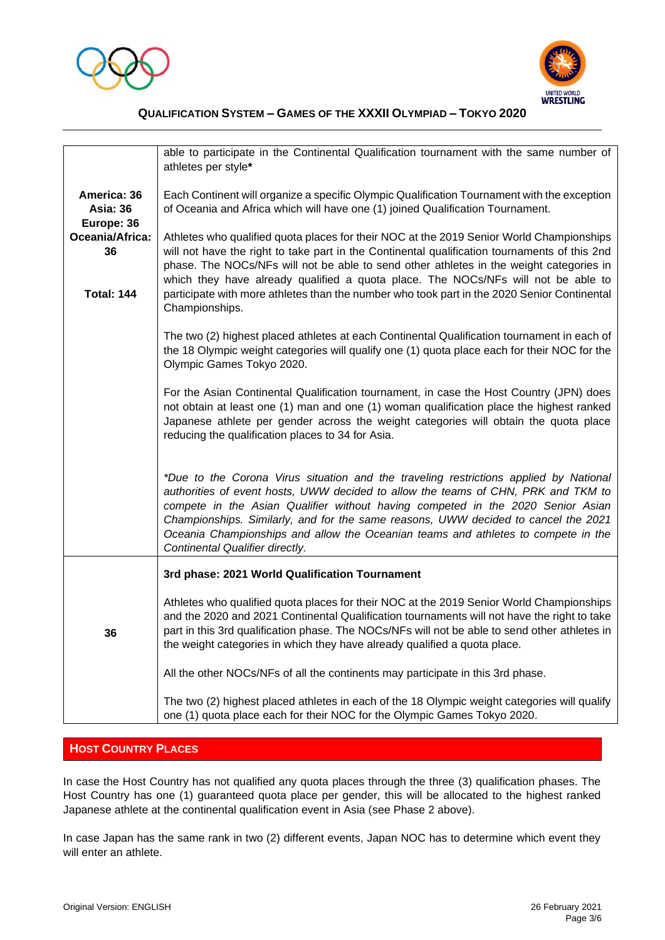



|                                              | able to participate in the Continental Qualification tournament with the same number of<br>athletes per style*                                                                                                                                                                                                                                                                                                                                                              |
|----------------------------------------------|-----------------------------------------------------------------------------------------------------------------------------------------------------------------------------------------------------------------------------------------------------------------------------------------------------------------------------------------------------------------------------------------------------------------------------------------------------------------------------|
| America: 36<br><b>Asia: 36</b><br>Europe: 36 | Each Continent will organize a specific Olympic Qualification Tournament with the exception<br>of Oceania and Africa which will have one (1) joined Qualification Tournament.                                                                                                                                                                                                                                                                                               |
| Oceania/Africa:<br>36                        | Athletes who qualified quota places for their NOC at the 2019 Senior World Championships<br>will not have the right to take part in the Continental qualification tournaments of this 2nd<br>phase. The NOCs/NFs will not be able to send other athletes in the weight categories in                                                                                                                                                                                        |
| <b>Total: 144</b>                            | which they have already qualified a quota place. The NOCs/NFs will not be able to<br>participate with more athletes than the number who took part in the 2020 Senior Continental<br>Championships.                                                                                                                                                                                                                                                                          |
|                                              | The two (2) highest placed athletes at each Continental Qualification tournament in each of<br>the 18 Olympic weight categories will qualify one (1) quota place each for their NOC for the<br>Olympic Games Tokyo 2020.                                                                                                                                                                                                                                                    |
|                                              | For the Asian Continental Qualification tournament, in case the Host Country (JPN) does<br>not obtain at least one (1) man and one (1) woman qualification place the highest ranked<br>Japanese athlete per gender across the weight categories will obtain the quota place<br>reducing the qualification places to 34 for Asia.                                                                                                                                            |
|                                              | *Due to the Corona Virus situation and the traveling restrictions applied by National<br>authorities of event hosts, UWW decided to allow the teams of CHN, PRK and TKM to<br>compete in the Asian Qualifier without having competed in the 2020 Senior Asian<br>Championships. Similarly, and for the same reasons, UWW decided to cancel the 2021<br>Oceania Championships and allow the Oceanian teams and athletes to compete in the<br>Continental Qualifier directly. |
|                                              | 3rd phase: 2021 World Qualification Tournament                                                                                                                                                                                                                                                                                                                                                                                                                              |
| 36                                           | Athletes who qualified quota places for their NOC at the 2019 Senior World Championships<br>and the 2020 and 2021 Continental Qualification tournaments will not have the right to take<br>part in this 3rd qualification phase. The NOCs/NFs will not be able to send other athletes in<br>the weight categories in which they have already qualified a quota place.                                                                                                       |
|                                              | All the other NOCs/NFs of all the continents may participate in this 3rd phase.                                                                                                                                                                                                                                                                                                                                                                                             |
|                                              | The two (2) highest placed athletes in each of the 18 Olympic weight categories will qualify<br>one (1) quota place each for their NOC for the Olympic Games Tokyo 2020.                                                                                                                                                                                                                                                                                                    |

# **HOST COUNTRY PLACES**

In case the Host Country has not qualified any quota places through the three (3) qualification phases. The Host Country has one (1) guaranteed quota place per gender, this will be allocated to the highest ranked Japanese athlete at the continental qualification event in Asia (see Phase 2 above).

In case Japan has the same rank in two (2) different events, Japan NOC has to determine which event they will enter an athlete.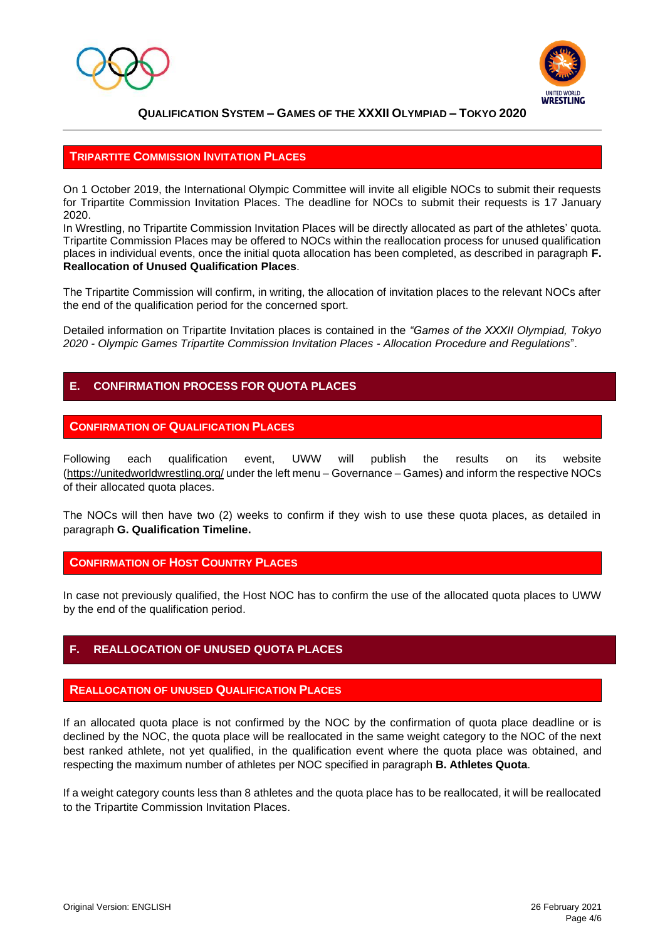



#### **TRIPARTITE COMMISSION INVITATION PLACES**

On 1 October 2019, the International Olympic Committee will invite all eligible NOCs to submit their requests for Tripartite Commission Invitation Places. The deadline for NOCs to submit their requests is 17 January 2020.

In Wrestling, no Tripartite Commission Invitation Places will be directly allocated as part of the athletes' quota. Tripartite Commission Places may be offered to NOCs within the reallocation process for unused qualification places in individual events, once the initial quota allocation has been completed, as described in paragraph **F. Reallocation of Unused Qualification Places**.

The Tripartite Commission will confirm, in writing, the allocation of invitation places to the relevant NOCs after the end of the qualification period for the concerned sport.

Detailed information on Tripartite Invitation places is contained in the *"Games of the XXXII Olympiad, Tokyo 2020 - Olympic Games Tripartite Commission Invitation Places - Allocation Procedure and Regulations*".

### **E. CONFIRMATION PROCESS FOR QUOTA PLACES**

#### **CONFIRMATION OF QUALIFICATION PLACES**

Following each qualification event, UWW will publish the results on its website [\(https://unitedworldwrestling.org/](https://unitedworldwrestling.org/) under the left menu – Governance – Games) and inform the respective NOCs of their allocated quota places.

The NOCs will then have two (2) weeks to confirm if they wish to use these quota places, as detailed in paragraph **G. Qualification Timeline.**

#### **CONFIRMATION OF HOST COUNTRY PLACES**

In case not previously qualified, the Host NOC has to confirm the use of the allocated quota places to UWW by the end of the qualification period.

# **F. REALLOCATION OF UNUSED QUOTA PLACES**

#### **REALLOCATION OF UNUSED QUALIFICATION PLACES**

If an allocated quota place is not confirmed by the NOC by the confirmation of quota place deadline or is declined by the NOC, the quota place will be reallocated in the same weight category to the NOC of the next best ranked athlete, not yet qualified, in the qualification event where the quota place was obtained, and respecting the maximum number of athletes per NOC specified in paragraph **B. Athletes Quota**.

If a weight category counts less than 8 athletes and the quota place has to be reallocated, it will be reallocated to the Tripartite Commission Invitation Places.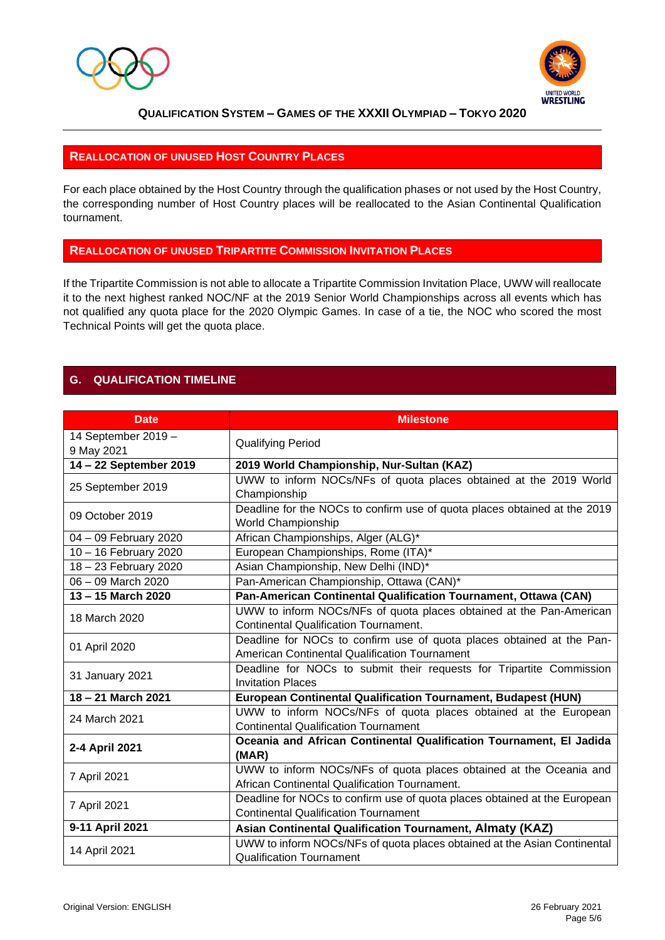



#### **REALLOCATION OF UNUSED HOST COUNTRY PLACES**

For each place obtained by the Host Country through the qualification phases or not used by the Host Country, the corresponding number of Host Country places will be reallocated to the Asian Continental Qualification tournament.

#### **REALLOCATION OF UNUSED TRIPARTITE COMMISSION INVITATION PLACES**

If the Tripartite Commission is not able to allocate a Tripartite Commission Invitation Place, UWW will reallocate it to the next highest ranked NOC/NF at the 2019 Senior World Championships across all events which has not qualified any quota place for the 2020 Olympic Games. In case of a tie, the NOC who scored the most Technical Points will get the quota place.

# **G. QUALIFICATION TIMELINE**

| <b>Date</b>            | <b>Milestone</b>                                                                                                         |
|------------------------|--------------------------------------------------------------------------------------------------------------------------|
| 14 September 2019 -    | <b>Qualifying Period</b>                                                                                                 |
| 9 May 2021             |                                                                                                                          |
| 14 - 22 September 2019 | 2019 World Championship, Nur-Sultan (KAZ)                                                                                |
| 25 September 2019      | UWW to inform NOCs/NFs of quota places obtained at the 2019 World<br>Championship                                        |
| 09 October 2019        | Deadline for the NOCs to confirm use of quota places obtained at the 2019<br>World Championship                          |
| 04 - 09 February 2020  | African Championships, Alger (ALG)*                                                                                      |
| 10 - 16 February 2020  | European Championships, Rome (ITA)*                                                                                      |
| 18 - 23 February 2020  | Asian Championship, New Delhi (IND)*                                                                                     |
| 06 - 09 March 2020     | Pan-American Championship, Ottawa (CAN)*                                                                                 |
| 13 - 15 March 2020     | Pan-American Continental Qualification Tournament, Ottawa (CAN)                                                          |
| 18 March 2020          | UWW to inform NOCs/NFs of quota places obtained at the Pan-American                                                      |
|                        | <b>Continental Qualification Tournament.</b>                                                                             |
| 01 April 2020          | Deadline for NOCs to confirm use of quota places obtained at the Pan-                                                    |
|                        | American Continental Qualification Tournament                                                                            |
| 31 January 2021        | Deadline for NOCs to submit their requests for Tripartite Commission                                                     |
|                        | <b>Invitation Places</b>                                                                                                 |
| 18 - 21 March 2021     | European Continental Qualification Tournament, Budapest (HUN)                                                            |
| 24 March 2021          | UWW to inform NOCs/NFs of quota places obtained at the European<br><b>Continental Qualification Tournament</b>           |
| 2-4 April 2021         | Oceania and African Continental Qualification Tournament, El Jadida<br>(MAR)                                             |
| 7 April 2021           | UWW to inform NOCs/NFs of quota places obtained at the Oceania and<br>African Continental Qualification Tournament.      |
| 7 April 2021           | Deadline for NOCs to confirm use of quota places obtained at the European<br><b>Continental Qualification Tournament</b> |
| 9-11 April 2021        | Asian Continental Qualification Tournament, Almaty (KAZ)                                                                 |
|                        | UWW to inform NOCs/NFs of quota places obtained at the Asian Continental                                                 |
| 14 April 2021          | <b>Qualification Tournament</b>                                                                                          |